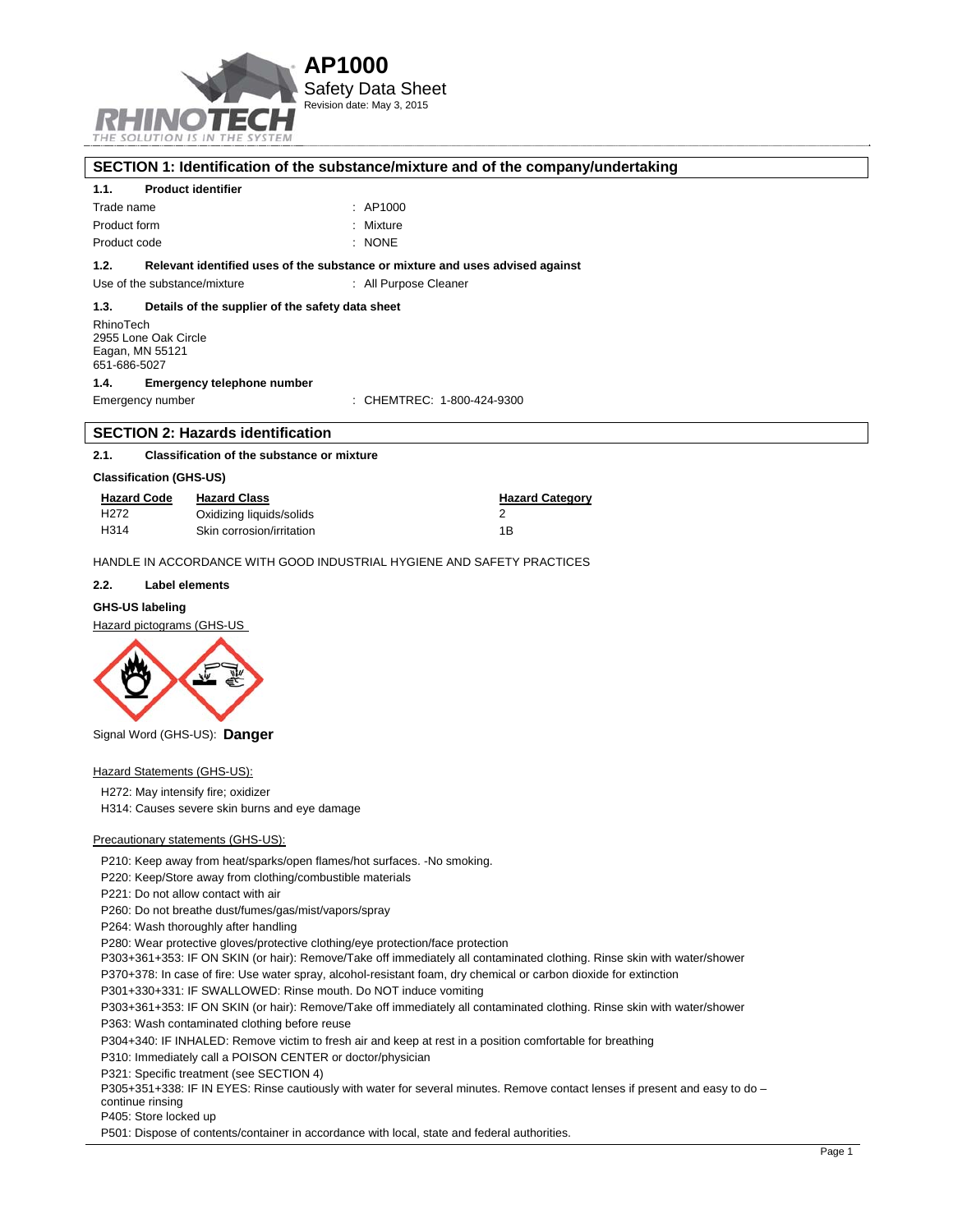

## **SECTION 1: Identification of the substance/mixture and of the company/undertaking 1.1. Product identifier**  Trade name : AP1000 Product form : Nixture Product code : NONE **1.2. Relevant identified uses of the substance or mixture and uses advised against**  Use of the substance/mixture : All Purpose Cleaner **1.3. Details of the supplier of the safety data sheet**  RhinoTech 2955 Lone Oak Circle Eagan, MN 55121 651-686-5027

## **1.4. Emergency telephone number**

Emergency number : CHEMTREC: 1-800-424-9300

## **SECTION 2: Hazards identification**

#### **2.1. Classification of the substance or mixture**

## **Classification (GHS-US)**

| <b>Hazard Code</b> | <b>Hazard Class</b>       | <b>Hazard Category</b> |
|--------------------|---------------------------|------------------------|
| H <sub>2</sub> 72  | Oxidizing liquids/solids  |                        |
| H <sub>3</sub> 14  | Skin corrosion/irritation | 1B                     |

HANDLE IN ACCORDANCE WITH GOOD INDUSTRIAL HYGIENE AND SAFETY PRACTICES

#### **2.2. Label elements**

## **GHS-US labeling**

Hazard pictograms (GHS-US



Signal Word (GHS-US): **Danger**

**Hazard Statements (GHS-US):** 

H272: May intensify fire; oxidizer

H314: Causes severe skin burns and eye damage

#### Precautionary statements (GHS-US):

P210: Keep away from heat/sparks/open flames/hot surfaces. -No smoking.

- P220: Keep/Store away from clothing/combustible materials
- P221: Do not allow contact with air

P260: Do not breathe dust/fumes/gas/mist/vapors/spray

P264: Wash thoroughly after handling

P280: Wear protective gloves/protective clothing/eye protection/face protection

P303+361+353: IF ON SKIN (or hair): Remove/Take off immediately all contaminated clothing. Rinse skin with water/shower

P370+378: In case of fire: Use water spray, alcohol-resistant foam, dry chemical or carbon dioxide for extinction

P301+330+331: IF SWALLOWED: Rinse mouth. Do NOT induce vomiting

P303+361+353: IF ON SKIN (or hair): Remove/Take off immediately all contaminated clothing. Rinse skin with water/shower

P363: Wash contaminated clothing before reuse

P304+340: IF INHALED: Remove victim to fresh air and keep at rest in a position comfortable for breathing

P310: Immediately call a POISON CENTER or doctor/physician

P321: Specific treatment (see SECTION 4)

P305+351+338: IF IN EYES: Rinse cautiously with water for several minutes. Remove contact lenses if present and easy to do -

continue rinsing P405: Store locked up

P501: Dispose of contents/container in accordance with local, state and federal authorities.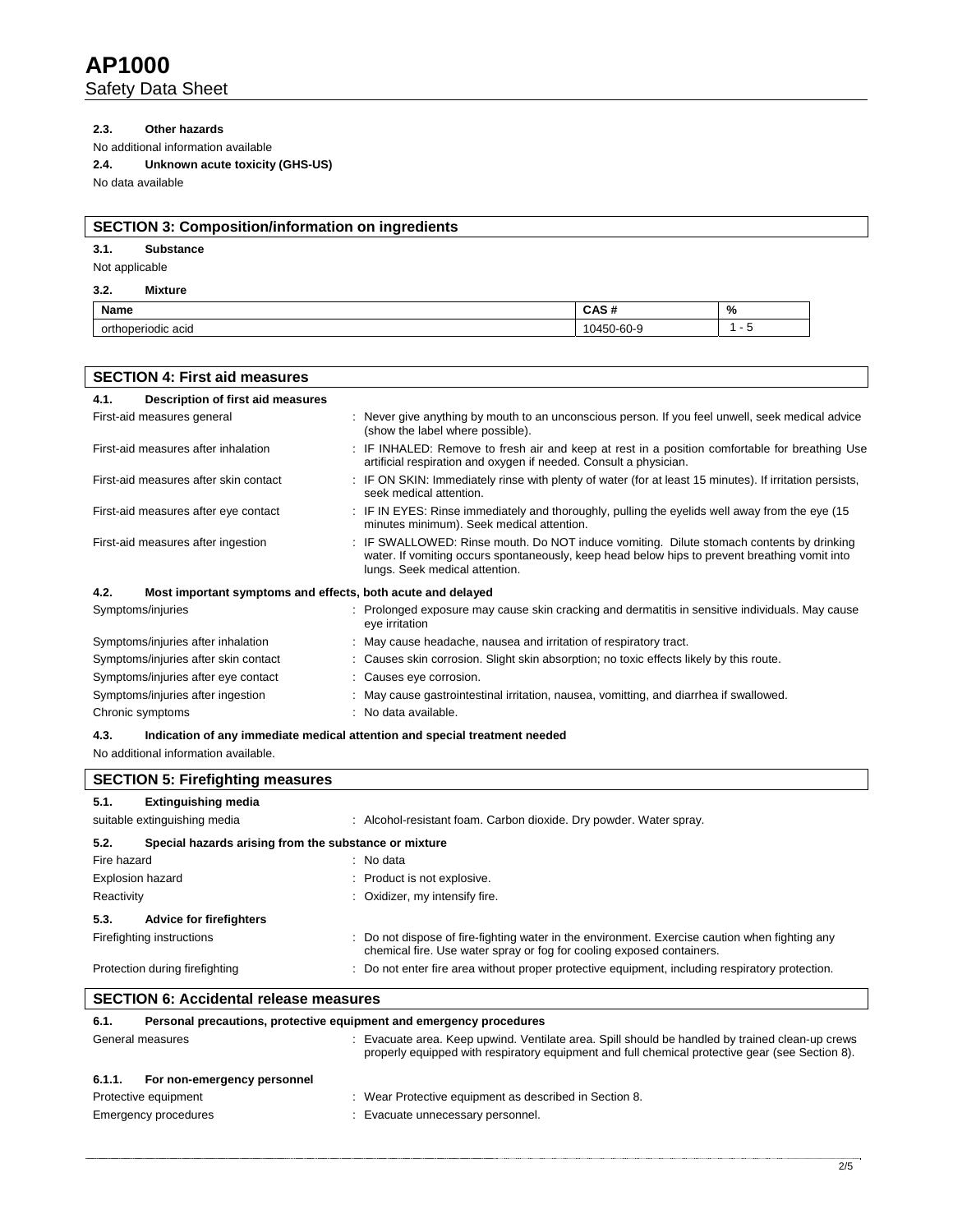# **2.3. Other hazards**

No additional information available

## **2.4. Unknown acute toxicity (GHS-US)**

No data available

# **SECTION 3: Composition/information on ingredients**

# **3.1. Substance**

Not applicable

## **3.2. Mixture**

| <b>Name</b>                     | . .<br>$-1$                | % |
|---------------------------------|----------------------------|---|
| <br>∩rt<br>acıd<br>odic<br>זומי | $\sim$<br>$\sim 1 - 1$<br> |   |

| <b>SECTION 4: First aid measures</b>                                |                                                                                                                                                                                                                             |
|---------------------------------------------------------------------|-----------------------------------------------------------------------------------------------------------------------------------------------------------------------------------------------------------------------------|
| Description of first aid measures<br>4.1.                           |                                                                                                                                                                                                                             |
| First-aid measures general                                          | : Never give anything by mouth to an unconscious person. If you feel unwell, seek medical advice<br>(show the label where possible).                                                                                        |
| First-aid measures after inhalation                                 | : IF INHALED: Remove to fresh air and keep at rest in a position comfortable for breathing Use<br>artificial respiration and oxygen if needed. Consult a physician.                                                         |
| First-aid measures after skin contact                               | : IF ON SKIN: Immediately rinse with plenty of water (for at least 15 minutes). If irritation persists,<br>seek medical attention.                                                                                          |
| First-aid measures after eye contact                                | : IF IN EYES: Rinse immediately and thoroughly, pulling the eyelids well away from the eye (15)<br>minutes minimum). Seek medical attention.                                                                                |
| First-aid measures after ingestion                                  | : IF SWALLOWED: Rinse mouth. Do NOT induce vomiting. Dilute stomach contents by drinking<br>water. If vomiting occurs spontaneously, keep head below hips to prevent breathing vomit into<br>lungs. Seek medical attention. |
| 4.2.<br>Most important symptoms and effects, both acute and delayed |                                                                                                                                                                                                                             |
| Symptoms/injuries                                                   | : Prolonged exposure may cause skin cracking and dermatitis in sensitive individuals. May cause<br>eye irritation                                                                                                           |
| Symptoms/injuries after inhalation                                  | : May cause headache, nausea and irritation of respiratory tract.                                                                                                                                                           |
| Symptoms/injuries after skin contact                                | : Causes skin corrosion. Slight skin absorption; no toxic effects likely by this route.                                                                                                                                     |
| Symptoms/injuries after eye contact                                 | : Causes eye corrosion.                                                                                                                                                                                                     |
| Symptoms/injuries after ingestion                                   | : May cause gastrointestinal irritation, nausea, vomitting, and diarrhea if swallowed.                                                                                                                                      |
| Chronic symptoms                                                    | : No data available.                                                                                                                                                                                                        |
| 4.3.                                                                | Indication of any immediate medical attention and special treatment needed                                                                                                                                                  |

No additional information available.

| <b>SECTION 5: Firefighting measures</b>       |                                                                                                                                                                         |
|-----------------------------------------------|-------------------------------------------------------------------------------------------------------------------------------------------------------------------------|
| <b>Extinguishing media</b><br>5.1.            |                                                                                                                                                                         |
| suitable extinguishing media                  | : Alcohol-resistant foam. Carbon dioxide. Dry powder. Water spray.                                                                                                      |
| 5.2.                                          | Special hazards arising from the substance or mixture                                                                                                                   |
| Fire hazard                                   | : No data                                                                                                                                                               |
| Explosion hazard                              | : Product is not explosive.                                                                                                                                             |
| Reactivity                                    | : Oxidizer, my intensify fire.                                                                                                                                          |
| 5.3.<br><b>Advice for firefighters</b>        |                                                                                                                                                                         |
| Firefighting instructions                     | : Do not dispose of fire-fighting water in the environment. Exercise caution when fighting any<br>chemical fire. Use water spray or fog for cooling exposed containers. |
| Protection during firefighting                | : Do not enter fire area without proper protective equipment, including respiratory protection.                                                                         |
| <b>SECTION 6: Accidental release measures</b> |                                                                                                                                                                         |
| 6.1.                                          | Personal precautions, protective equipment and emergency procedures                                                                                                     |
| General measures                              | : Evacuate area. Keep upwind. Ventilate area. Spill should be handled by trained clean-up crews                                                                         |

# properly equipped with respiratory equipment and full chemical protective gear (see Section 8). **6.1.1. For non-emergency personnel**  Protective equipment : Wear Protective equipment as described in Section 8. Emergency procedures **in the contract of the Contract Contract Evacuate** unnecessary personnel.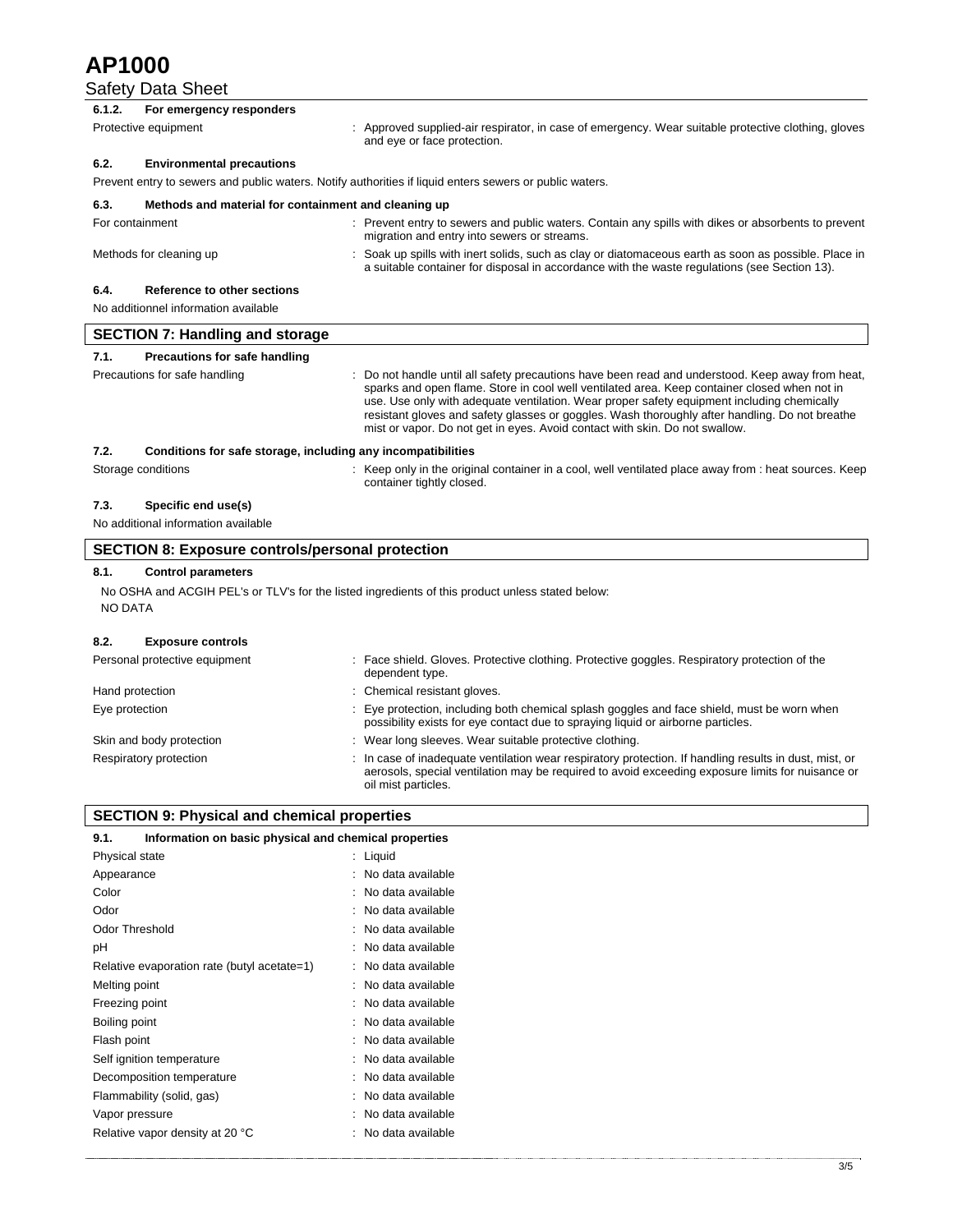# **AP1000**

# **Safety Data Sheet**

| 6.1.2.         | For emergency responders                                     |                                                                                                                                                                                                                                                                                                                                                                                                                                                                               |
|----------------|--------------------------------------------------------------|-------------------------------------------------------------------------------------------------------------------------------------------------------------------------------------------------------------------------------------------------------------------------------------------------------------------------------------------------------------------------------------------------------------------------------------------------------------------------------|
|                | Protective equipment                                         | : Approved supplied-air respirator, in case of emergency. Wear suitable protective clothing, gloves<br>and eye or face protection.                                                                                                                                                                                                                                                                                                                                            |
| 6.2.           | <b>Environmental precautions</b>                             |                                                                                                                                                                                                                                                                                                                                                                                                                                                                               |
|                |                                                              | Prevent entry to sewers and public waters. Notify authorities if liquid enters sewers or public waters.                                                                                                                                                                                                                                                                                                                                                                       |
| 6.3.           | Methods and material for containment and cleaning up         |                                                                                                                                                                                                                                                                                                                                                                                                                                                                               |
|                | For containment                                              | : Prevent entry to sewers and public waters. Contain any spills with dikes or absorbents to prevent<br>migration and entry into sewers or streams.                                                                                                                                                                                                                                                                                                                            |
|                | Methods for cleaning up                                      | Soak up spills with inert solids, such as clay or diatomaceous earth as soon as possible. Place in<br>a suitable container for disposal in accordance with the waste requlations (see Section 13).                                                                                                                                                                                                                                                                            |
| 6.4.           | <b>Reference to other sections</b>                           |                                                                                                                                                                                                                                                                                                                                                                                                                                                                               |
|                | No additionnel information available                         |                                                                                                                                                                                                                                                                                                                                                                                                                                                                               |
|                | <b>SECTION 7: Handling and storage</b>                       |                                                                                                                                                                                                                                                                                                                                                                                                                                                                               |
| 7.1.           | Precautions for safe handling                                |                                                                                                                                                                                                                                                                                                                                                                                                                                                                               |
|                | Precautions for safe handling                                | Do not handle until all safety precautions have been read and understood. Keep away from heat,<br>sparks and open flame. Store in cool well ventilated area. Keep container closed when not in<br>use. Use only with adequate ventilation. Wear proper safety equipment including chemically<br>resistant gloves and safety glasses or goggles. Wash thoroughly after handling. Do not breathe<br>mist or vapor. Do not get in eyes. Avoid contact with skin. Do not swallow. |
| 7.2.           | Conditions for safe storage, including any incompatibilities |                                                                                                                                                                                                                                                                                                                                                                                                                                                                               |
|                | Storage conditions                                           | : Keep only in the original container in a cool, well ventilated place away from : heat sources. Keep<br>container tightly closed.                                                                                                                                                                                                                                                                                                                                            |
| 7.3.           | Specific end use(s)                                          |                                                                                                                                                                                                                                                                                                                                                                                                                                                                               |
|                | No additional information available                          |                                                                                                                                                                                                                                                                                                                                                                                                                                                                               |
|                | <b>SECTION 8: Exposure controls/personal protection</b>      |                                                                                                                                                                                                                                                                                                                                                                                                                                                                               |
| 8.1.           | <b>Control parameters</b>                                    |                                                                                                                                                                                                                                                                                                                                                                                                                                                                               |
| <b>NO DATA</b> |                                                              | No OSHA and ACGIH PEL's or TLV's for the listed ingredients of this product unless stated below:                                                                                                                                                                                                                                                                                                                                                                              |
| 8.2.           | <b>Exposure controls</b>                                     |                                                                                                                                                                                                                                                                                                                                                                                                                                                                               |
|                | Personal protective equipment                                | : Face shield. Gloves. Protective clothing. Protective goggles. Respiratory protection of the<br>dependent type.                                                                                                                                                                                                                                                                                                                                                              |
|                | Hand protection                                              | : Chemical resistant gloves.                                                                                                                                                                                                                                                                                                                                                                                                                                                  |

| Eye protection           | Eye protection, including both chemical splash goggles and face shield, must be worn when<br>possibility exists for eye contact due to spraying liquid or airborne particles.                                                   |
|--------------------------|---------------------------------------------------------------------------------------------------------------------------------------------------------------------------------------------------------------------------------|
| Skin and body protection | Wear long sleeves. Wear suitable protective clothing.                                                                                                                                                                           |
| Respiratory protection   | In case of inadequate ventilation wear respiratory protection. If handling results in dust, mist, or<br>aerosols, special ventilation may be required to avoid exceeding exposure limits for nuisance or<br>oil mist particles. |

| <b>SECTION 9: Physical and chemical properties</b>            |                     |
|---------------------------------------------------------------|---------------------|
| Information on basic physical and chemical properties<br>9.1. |                     |
| Physical state                                                | : Liquid            |
| Appearance                                                    | No data available   |
| Color                                                         | No data available   |
| Odor                                                          | No data available   |
| Odor Threshold                                                | No data available   |
| рH                                                            | No data available   |
| Relative evaporation rate (butyl acetate=1)                   | : No data available |
| Melting point                                                 | No data available   |
| Freezing point                                                | : No data available |
| Boiling point                                                 | · No data available |
| Flash point                                                   | : No data available |
| Self ignition temperature                                     | No data available   |
| Decomposition temperature                                     | No data available   |
| Flammability (solid, gas)                                     | No data available   |
| Vapor pressure                                                | No data available   |
| Relative vapor density at 20 °C                               | No data available   |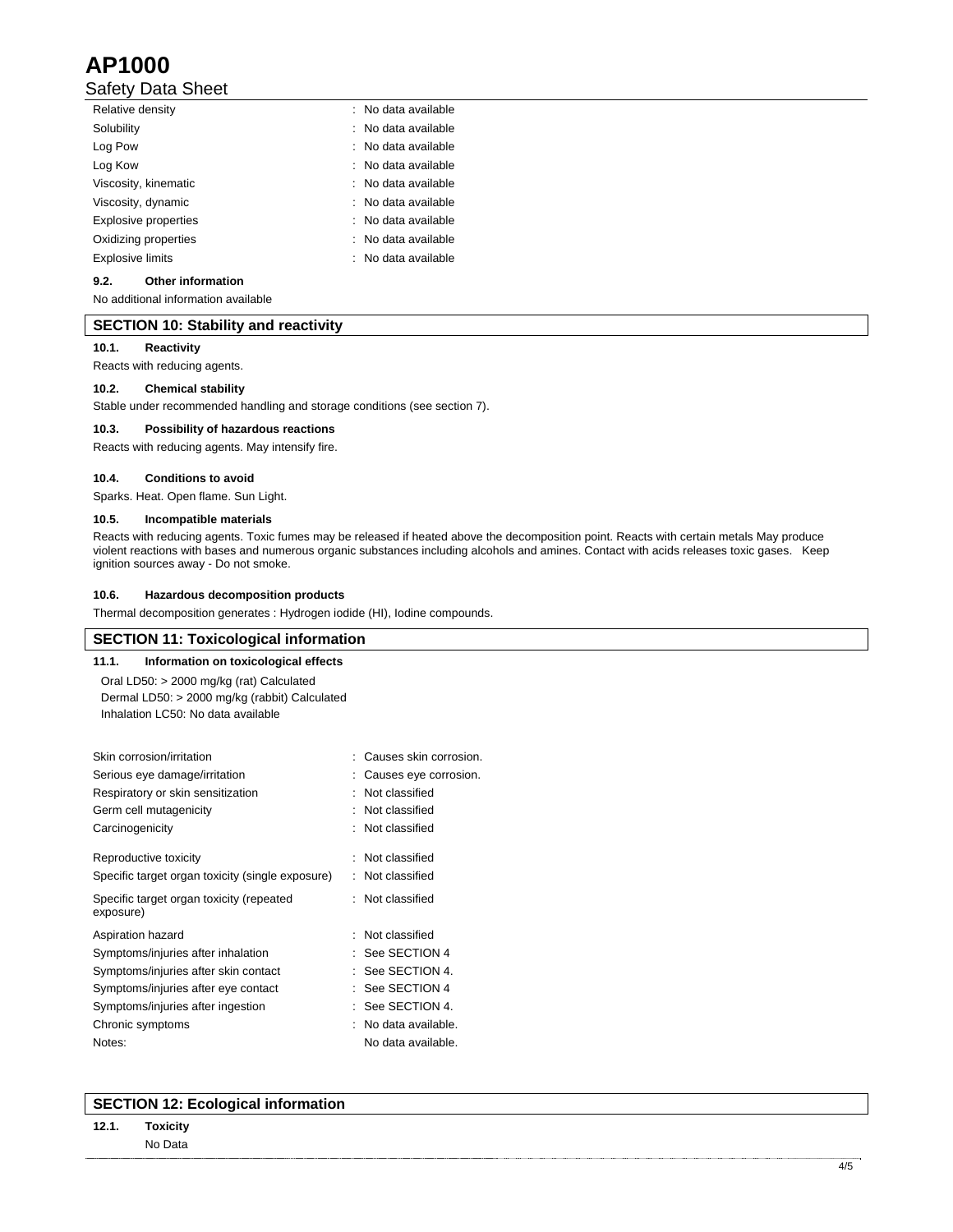# **AP1000**

# Safety Data Sheet

| Relative density            | : No data available |
|-----------------------------|---------------------|
| Solubility                  | : No data available |
| Log Pow                     | : No data available |
| Log Kow                     | : No data available |
| Viscosity, kinematic        | : No data available |
| Viscosity, dynamic          | : No data available |
| <b>Explosive properties</b> | : No data available |
| Oxidizing properties        | : No data available |
| <b>Explosive limits</b>     | : No data available |
|                             |                     |

# **9.2. Other information**

No additional information available

## **SECTION 10: Stability and reactivity**

### **10.1. Reactivity**

Reacts with reducing agents.

## **10.2. Chemical stability**

Stable under recommended handling and storage conditions (see section 7).

#### **10.3. Possibility of hazardous reactions**

Reacts with reducing agents. May intensify fire.

#### **10.4. Conditions to avoid**

Sparks. Heat. Open flame. Sun Light.

## **10.5. Incompatible materials**

Reacts with reducing agents. Toxic fumes may be released if heated above the decomposition point. Reacts with certain metals May produce violent reactions with bases and numerous organic substances including alcohols and amines. Contact with acids releases toxic gases. Keep ignition sources away - Do not smoke.

#### **10.6. Hazardous decomposition products**

Thermal decomposition generates : Hydrogen iodide (HI), Iodine compounds.

## **SECTION 11: Toxicological information**

**11.1. Information on toxicological effects**  Oral LD50: > 2000 mg/kg (rat) Calculated Dermal LD50: > 2000 mg/kg (rabbit) Calculated Inhalation LC50: No data available

| : Causes skin corrosion. |
|--------------------------|
| Causes eye corrosion.    |
| Not classified           |
| Not classified           |
| Not classified           |
| : Not classified         |
| Not classified           |
| : Not classified         |
| Not classified           |
| $:$ See SECTION 4        |
| See SECTION 4.           |
| See SECTION 4            |
| See SECTION 4.           |
| No data available.       |
| No data available.       |
|                          |

## **SECTION 12: Ecological information**

## **12.1. Toxicity**  No Data